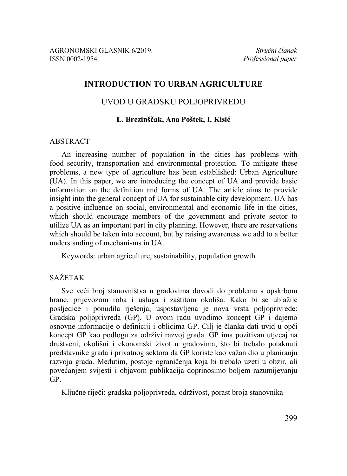# **INTRODUCTION TO URBAN AGRICULTURE**

# UVOD U GRADSKU POLJOPRIVREDU

## **L. Brezinščak, Ana Poštek, I. Kisić**

## **ABSTRACT**

An increasing number of population in the cities has problems with food security, transportation and environmental protection. To mitigate these problems, a new type of agriculture has been established: Urban Agriculture (UA). In this paper, we are introducing the concept of UA and provide basic information on the definition and forms of UA. The article aims to provide insight into the general concept of UA for sustainable city development. UA has a positive influence on social, environmental and economic life in the cities, which should encourage members of the government and private sector to utilize UA as an important part in city planning. However, there are reservations which should be taken into account, but by raising awareness we add to a better understanding of mechanisms in UA.

Keywords: urban agriculture, sustainability, population growth

# SAŽETAK

Sve veći broj stanovništva u gradovima dovodi do problema s opskrbom hrane, prijevozom roba i usluga i zaštitom okoliša. Kako bi se ublažile posljedice i ponudila rješenja, uspostavljena je nova vrsta poljoprivrede: Gradska poljoprivreda (GP). U ovom radu uvodimo koncept GP i dajemo osnovne informacije o definiciji i oblicima GP. Cilj je članka dati uvid u opći koncept GP kao podlogu za održivi razvoj grada. GP ima pozitivan utjecaj na društveni, okolišni i ekonomski život u gradovima, što bi trebalo potaknuti predstavnike grada i privatnog sektora da GP koriste kao važan dio u planiranju razvoja grada. Međutim, postoje ograničenja koja bi trebalo uzeti u obzir, ali povećanjem svijesti i objavom publikacija doprinosimo boljem razumijevanju GP.

Ključne riječi: gradska poljoprivreda, održivost, porast broja stanovnika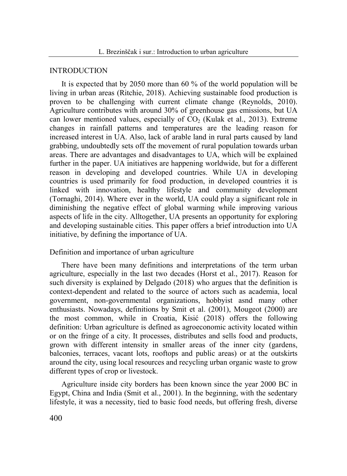### INTRODUCTION

It is expected that by 2050 more than 60 % of the world population will be living in urban areas (Ritchie, 2018). Achieving sustainable food production is proven to be challenging with current climate change (Reynolds, 2010). Agriculture contributes with around 30% of greenhouse gas emissions, but UA can lower mentioned values, especially of  $CO<sub>2</sub>$  (Kulak et al., 2013). Extreme changes in rainfall patterns and temperatures are the leading reason for increased interest in UA. Also, lack of arable land in rural parts caused by land grabbing, undoubtedly sets off the movement of rural population towards urban areas. There are advantages and disadvantages to UA, which will be explained further in the paper. UA initiatives are happening worldwide, but for a different reason in developing and developed countries. While UA in developing countries is used primarily for food production, in developed countries it is linked with innovation, healthy lifestyle and community development (Tornaghi, 2014). Where ever in the world, UA could play a significant role in diminishing the negative effect of global warming while improving various aspects of life in the city. Alltogether, UA presents an opportunity for exploring and developing sustainable cities. This paper offers a brief introduction into UA initiative, by defining the importance of UA.

## Definition and importance of urban agriculture

There have been many definitions and interpretations of the term urban agriculture, especially in the last two decades (Horst et al., 2017). Reason for such diversity is explained by Delgado (2018) who argues that the definition is context-dependent and related to the source of actors such as academia, local government, non-governmental organizations, hobbyist asnd many other enthusiasts. Nowadays, definitions by Smit et al. (2001), Mougeot (2000) are the most common, while in Croatia, Kisić (2018) offers the following definition: Urban agriculture is defined as agroeconomic activity located within or on the fringe of a city. It processes, distributes and sells food and products, grown with different intensity in smaller areas of the inner city (gardens, balconies, terraces, vacant lots, rooftops and public areas) or at the outskirts around the city, using local resources and recycling urban organic waste to grow different types of crop or livestock.

Agriculture inside city borders has been known since the year 2000 BC in Egypt, China and India (Smit et al., 2001). In the beginning, with the sedentary lifestyle, it was a necessity, tied to basic food needs, but offering fresh, diverse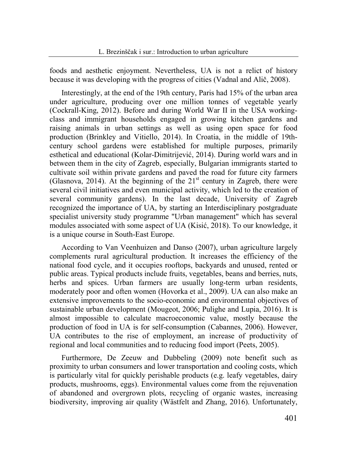foods and aesthetic enjoyment. Nevertheless, UA is not a relict of history because it was developing with the progress of cities (Vadnal and Alič, 2008).

Interestingly, at the end of the 19th century, Paris had 15% of the urban area under agriculture, producing over one million tonnes of vegetable yearly (Cockrall-King, 2012). Before and during World War II in the USA workingclass and immigrant households engaged in growing kitchen gardens and raising animals in urban settings as well as using open space for food production (Brinkley and Vitiello, 2014). In Croatia, in the middle of 19thcentury school gardens were established for multiple purposes, primarily esthetical and educational (Kolar-Dimitrijević, 2014). During world wars and in between them in the city of Zagreb, especially, Bulgarian immigrants started to cultivate soil within private gardens and paved the road for future city farmers (Glasnova, 2014). At the beginning of the  $21<sup>st</sup>$  century in Zagreb, there were several civil initiatives and even municipal activity, which led to the creation of several community gardens). In the last decade, University of Zagreb recognized the importance of UA, by starting an Interdisciplinary postgraduate specialist university study programme "Urban management" which has several modules associated with some aspect of UA (Kisić, 2018). To our knowledge, it is a unique course in South-East Europe.

According to Van Veenhuizen and Danso (2007), urban agriculture largely complements rural agricultural production. It increases the efficiency of the national food cycle, and it occupies rooftops, backyards and unused, rented or public areas. Typical products include fruits, vegetables, beans and berries, nuts, herbs and spices. Urban farmers are usually long-term urban residents, moderately poor and often women (Hovorka et al., 2009). UA can also make an extensive improvements to the socio-economic and environmental objectives of sustainable urban development (Mougeot, 2006; Pulighe and Lupia, 2016). It is almost impossible to calculate macroeconomic value, mostly because the production of food in UA is for self-consumption (Cabannes, 2006). However, UA contributes to the rise of employment, an increase of productivity of regional and local communities and to reducing food import (Peets, 2005).

Furthermore, De Zeeuw and Dubbeling (2009) note benefit such as proximity to urban consumers and lower transportation and cooling costs, which is particularly vital for quickly perishable products (e.g. leafy vegetables, dairy products, mushrooms, eggs). Environmental values come from the rejuvenation of abandoned and overgrown plots, recycling of organic wastes, increasing biodiversity, improving air quality (Wästfelt and Zhang, 2016). Unfortunately,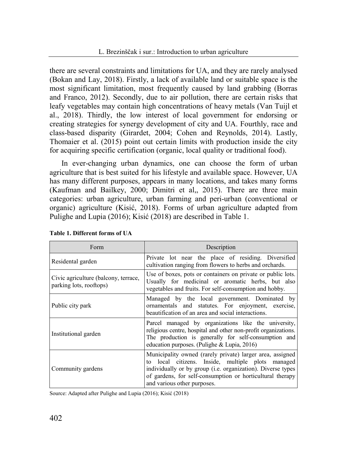there are several constraints and limitations for UA, and they are rarely analysed (Bokan and Lay, 2018). Firstly, a lack of available land or suitable space is the most significant limitation, most frequently caused by land grabbing (Borras and Franco, 2012). Secondly, due to air pollution, there are certain risks that leafy vegetables may contain high concentrations of heavy metals (Van Tuijl et al., 2018). Thirdly, the low interest of local government for endorsing or creating strategies for synergy development of city and UA. Fourthly, race and class-based disparity (Girardet, 2004; Cohen and Reynolds, 2014). Lastly, Thomaier et al. (2015) point out certain limits with production inside the city for acquiring specific certification (organic, local quality or traditional food).

In ever-changing urban dynamics, one can choose the form of urban agriculture that is best suited for his lifestyle and available space. However, UA has many different purposes, appears in many locations, and takes many forms (Kaufman and Bailkey, 2000; Dimitri et al,, 2015). There are three main categories: urban agriculture, urban farming and peri-urban (conventional or organic) agriculture (Kisić, 2018). Forms of urban agriculture adapted from Pulighe and Lupia (2016); Kisić (2018) are described in Table 1.

| Form                                                            | Description                                                                                                                                                                                                                                                               |  |  |  |
|-----------------------------------------------------------------|---------------------------------------------------------------------------------------------------------------------------------------------------------------------------------------------------------------------------------------------------------------------------|--|--|--|
| Residental garden                                               | Private lot near the place of residing. Diversified<br>cultivation ranging from flowers to herbs and orchards.                                                                                                                                                            |  |  |  |
| Civic agriculture (balcony, terrace,<br>parking lots, rooftops) | Use of boxes, pots or containers on private or public lots.<br>Usually for medicinal or aromatic herbs, but also<br>vegetables and fruits. For self-consumption and hobby.                                                                                                |  |  |  |
| Public city park                                                | Managed by the local government. Dominated by<br>ornamentals and statutes. For enjoyment, exercise,<br>beautification of an area and social interactions.                                                                                                                 |  |  |  |
| Institutional garden                                            | Parcel managed by organizations like the university,<br>religious centre, hospital and other non-profit organizations.<br>The production is generally for self-consumption and<br>education purposes. (Pulighe $& Lupia, 2016$ )                                          |  |  |  |
| Community gardens                                               | Municipality owned (rarely private) larger area, assigned<br>to local citizens. Inside, multiple plots managed<br>individually or by group (i.e. organization). Diverse types<br>of gardens, for self-consumption or horticultural therapy<br>and various other purposes. |  |  |  |

|  |  | Table 1. Different forms of UA |  |  |
|--|--|--------------------------------|--|--|
|--|--|--------------------------------|--|--|

Source: Adapted after Pulighe and Lupia (2016); Kisić (2018)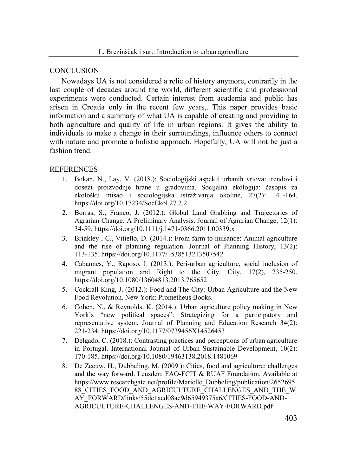#### **CONCLUSION**

Nowadays UA is not considered a relic of history anymore, contrarily in the last couple of decades around the world, different scientific and professional experiments were conducted. Certain interest from academia and public has arisen in Croatia only in the recent few years,. This paper provides basic information and a summary of what UA is capable of creating and providing to both agriculture and quality of life in urban regions. It gives the ability to individuals to make a change in their surroundings, influence others to connect with nature and promote a holistic approach. Hopefully, UA will not be just a fashion trend.

## **REFERENCES**

- 1. Bokan, N., Lay, V. (2018.): Sociologijski aspekti urbanih vrtova: trendovi i dosezi proizvodnje hrane u gradovima. Socijalna ekologija: časopis za ekološku misao i sociologijska istraživanja okoline, 27(2): 141-164. https://doi.org/10.17234/SocEkol.27.2.2
- 2. Borras, S., Franco, J. (2012.): Global Land Grabbing and Trajectories of Agrarian Change: A Preliminary Analysis. Journal of Agrarian Change, 12(1): 34-59. https://doi.org/10.1111/j.1471-0366.2011.00339.x
- 3. Brinkley , C., Vitiello, D. (2014.): From farm to nuisance: Animal agriculture and the rise of planning regulation. Journal of Planning History, 13(2): 113-135. https://doi.org/10.1177/1538513213507542
- 4. Cabannes, Y., Raposo, I. (2013.): Peri-urban agriculture, social inclusion of migrant population and Right to the City. City, 17(2), 235-250. https://doi.org/10.1080/13604813.2013.765652
- 5. Cockrall-King, J. (2012.): Food and The City: Urban Agriculture and the New Food Revolution. New York: Prometheus Books.
- 6. Cohen, N., & Reynolds, K. (2014.): Urban agriculture policy making in New York's "new political spaces": Strategizing for a participatory and representative system. Journal of Planning and Education Research 34(2): 221-234. https://doi.org/10.1177/0739456X14526453
- 7. Delgado, C. (2018.): Contrasting practices and perceptions of urban agriculture in Portugal. International Journal of Urban Sustainable Development, 10(2): 170-185. https://doi.org/10.1080/19463138.2018.1481069
- 8. De Zeeuw, H., Dubbeling, M. (2009.): Cities, food and agriculture: challenges and the way forward. Leusden: FAO-FCIT & RUAF Foundation. Available at https://www.researchgate.net/profile/Marielle\_Dubbeling/publication/2652695 88\_CITIES\_FOOD\_AND\_AGRICULTURE\_CHALLENGES\_AND\_THE\_W AY\_FORWARD/links/55dc1aed08ae9d65949375a6/CITIES-FOOD-AND-AGRICULTURE-CHALLENGES-AND-THE-WAY-FORWARD.pdf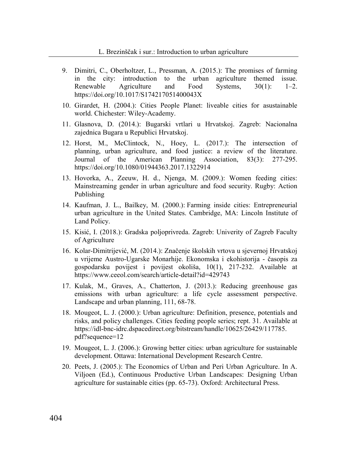- 9. Dimitri, C., Oberholtzer, L., Pressman, A. (2015.): The promises of farming in the city: introduction to the urban agriculture themed issue. Renewable Agriculture and Food Systems, 30(1): 1–2. https://doi.org/10.1017/S174217051400043X
- 10. Girardet, H. (2004.): Cities People Planet: liveable cities for asustainable world. Chichester: Wiley-Academy.
- 11. Glasnova, D. (2014.): Bugarski vrtlari u Hrvatskoj. Zagreb: Nacionalna zajednica Bugara u Republici Hrvatskoj.
- 12. Horst, M., McClintock, N., Hoey, L. (2017.): The intersection of planning, urban agriculture, and food justice: a review of the literature. Journal of the American Planning Association, 83(3): 277-295. https://doi.org/10.1080/01944363.2017.1322914
- 13. Hovorka, A., Zeeuw, H. d., Njenga, M. (2009.): Women feeding cities: Mainstreaming gender in urban agriculture and food security. Rugby: Action Publishing
- 14. Kaufman, J. L., Bailkey, M. (2000.): Farming inside cities: Entrepreneurial urban agriculture in the United States. Cambridge, MA: Lincoln Institute of Land Policy.
- 15. Kisić, I. (2018.): Gradska poljoprivreda. Zagreb: Univerity of Zagreb Faculty of Agriculture
- 16. Kolar-Dimitrijević, M. (2014.): Značenje školskih vrtova u sjevernoj Hrvatskoj u vrijeme Austro-Ugarske Monarhije. Ekonomska i ekohistorija - časopis za gospodarsku povijest i povijest okoliša, 10(1), 217-232. Available at https://www.ceeol.com/search/article-detail?id=429743
- 17. Kulak, M., Graves, A., Chatterton, J. (2013.): Reducing greenhouse gas emissions with urban agriculture: a life cycle assessment perspective. Landscape and urban planning, 111, 68-78.
- 18. Mougeot, L. J. (2000.): Urban agriculture: Definition, presence, potentials and risks, and policy challenges. Cities feeding people series; rept. 31. Available at https://idl-bnc-idrc.dspacedirect.org/bitstream/handle/10625/26429/117785. pdf?sequence=12
- 19. Mougeot, L. J. (2006.): Growing better cities: urban agriculture for sustainable development. Ottawa: International Development Research Centre.
- 20. Peets, J. (2005.): The Economics of Urban and Peri Urban Agriculture. In A. Viljoen (Ed.), Continuous Productive Urban Landscapes: Designing Urban agriculture for sustainable cities (pp. 65-73). Oxford: Architectural Press.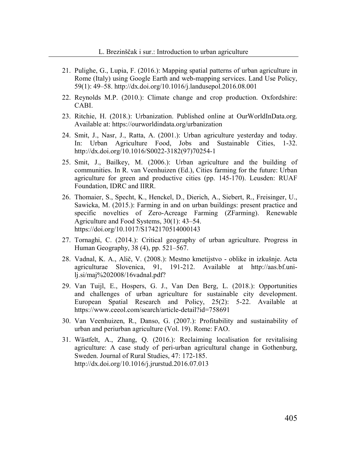- 21. Pulighe, G., Lupia, F. (2016.): Mapping spatial patterns of urban agriculture in Rome (Italy) using Google Earth and web-mapping services. Land Use Policy, 59(1): 49–58. http://dx.doi.org/10.1016/j.landusepol.2016.08.001
- 22. Reynolds M.P. (2010.): Climate change and crop production. Oxfordshire: CABI.
- 23. Ritchie, H. (2018.): Urbanization. Published online at OurWorldInData.org. Available at: https://ourworldindata.org/urbanization
- 24. Smit, J., Nasr, J., Ratta, A. (2001.): Urban agriculture yesterday and today. In: Urban Agriculture Food, Jobs and Sustainable Cities, 1-32. http://dx.doi.org/10.1016/S0022-3182(97)70254-1
- 25. Smit, J., Bailkey, M. (2006.): Urban agriculture and the building of communities. In R. van Veenhuizen (Ed.), Cities farming for the future: Urban agriculture for green and productive cities (pp. 145-170). Leusden: RUAF Foundation, IDRC and IIRR.
- 26. Thomaier, S., Specht, K., Henckel, D., Dierich, A., Siebert, R., Freisinger, U., Sawicka, M. (2015.): Farming in and on urban buildings: present practice and specific novelties of Zero-Acreage Farming (ZFarming). Renewable Agriculture and Food Systems, 30(1): 43–54. https://doi.org/10.1017/S1742170514000143
- 27. Tornaghi, C. (2014.): Critical geography of urban agriculture. Progress in Human Geography, 38 (4), pp. 521–567.
- 28. Vadnal, K. A., Alič, V. (2008.): Mestno kmetijstvo oblike in izkušnje. Acta agriculturae Slovenica, 91, 191-212. Available at http://aas.bf.unilj.si/maj%202008/16vadnal.pdf?
- 29. Van Tuijl, E., Hospers, G. J., Van Den Berg, L. (2018.): Opportunities and challenges of urban agriculture for sustainable city development. European Spatial Research and Policy, 25(2): 5-22. Available at https://www.ceeol.com/search/article-detail?id=758691
- 30. Van Veenhuizen, R., Danso, G. (2007.): Profitability and sustainability of urban and periurban agriculture (Vol. 19). Rome: FAO.
- 31. Wästfelt, A., Zhang, Q. (2016.): Reclaiming localisation for revitalising agriculture: A case study of peri-urban agricultural change in Gothenburg, Sweden. Journal of Rural Studies, 47: 172-185. http://dx.doi.org/10.1016/j.jrurstud.2016.07.013